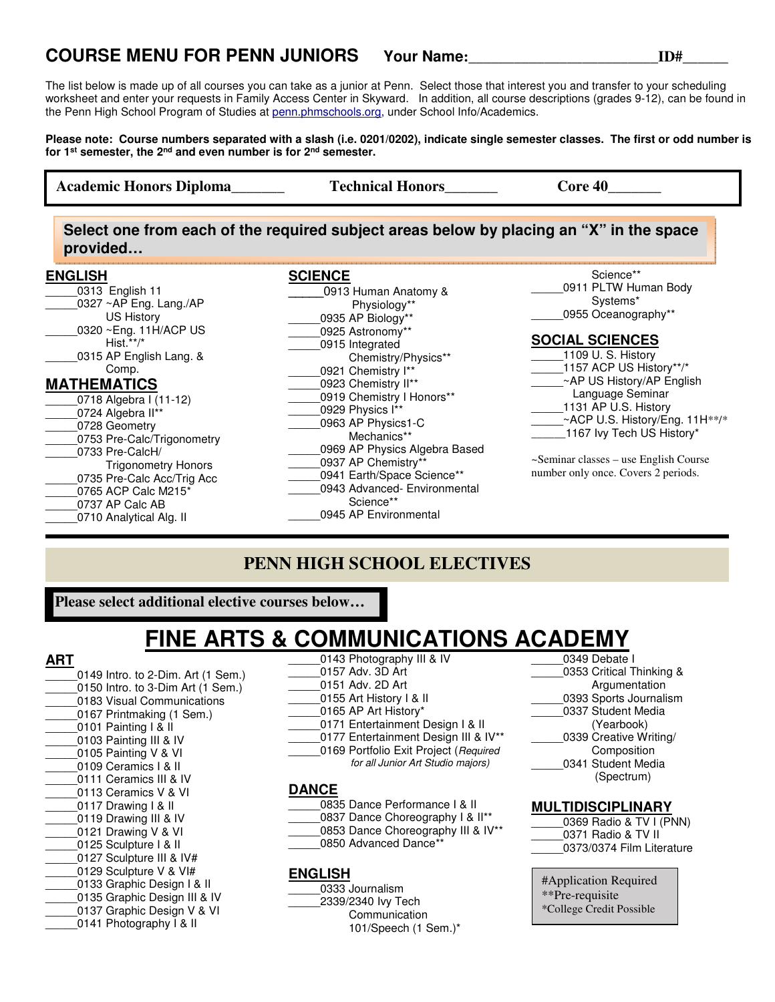### **COURSE MENU FOR PENN JUNIORS Your Name:\_\_\_\_\_\_\_\_\_\_\_\_\_\_\_\_\_\_\_\_\_\_\_\_\_ID#\_\_\_\_\_\_**

The list below is made up of all courses you can take as a junior at Penn. Select those that interest you and transfer to your scheduling worksheet and enter your requests in Family Access Center in Skyward. In addition, all course descriptions (grades 9-12), can be found in the Penn High School Program of Studies at penn.phmschools.org, under School Info/Academics.

**Please note: Course numbers separated with a slash (i.e. 0201/0202), indicate single semester classes. The first or odd number is for 1st semester, the 2nd and even number is for 2nd semester.**

**ENGLISH**  0313 English 11  $0327 \sim AP$  Eng. Lang./AP US History \_\_\_\_\_0320 ~Eng. 11H/ACP US Hist.\*\*/\* 0315 AP English Lang. & Comp. **MATHEMATICS** \_\_\_\_\_0718 Algebra I (11-12)  $0724$  Algebra II<sup>\*\*</sup> \_\_\_\_\_0728 Geometry 0753 Pre-Calc/Trigonometry \_\_\_\_\_0733 Pre-CalcH/ Trigonometry Honors 0735 Pre-Calc Acc/Trig Acc \_\_\_\_\_0765 ACP Calc M215\* \_\_\_\_\_0737 AP Calc AB 0710 Analytical Alg. II **SCIENCE \_\_\_\_\_**0913 Human Anatomy & Physiology\*\* \_\_\_\_\_0935 AP Biology\*\* \_\_\_\_\_0925 Astronomy\*\* \_\_\_\_\_0915 Integrated Chemistry/Physics\*\* 0921 Chemistry I\*\* \_\_\_\_\_0923 Chemistry II\*\* 0919 Chemistry I Honors\*\*  $1*$ <sup>+\*</sup> 0963 AP Physics1-C Mechanics\*\* 0969 AP Physics Algebra Based \_\_\_\_\_0937 AP Chemistry\*\* \_\_\_\_\_0941 Earth/Space Science\*\* \_\_\_\_\_0943 Advanced- Environmental Science\*\* 0945 AP Environmental Science\*\* 0911 PLTW Human Body Systems\* 0955 Oceanography\*\* **SOCIAL SCIENCES**  $_1$ 109 U. S. History \_1157 ACP US History\*\*/\* \_\_~AP US History/AP English Language Seminar 1131 AP U.S. History \_\_~ACP U.S. History/Eng. 11H\*\*/\* \_1167 Ivy Tech US History\* ~Seminar classes – use English Course number only once. Covers 2 periods. **Academic Honors Diploma Technical Honors Core 40 Select one from each of the required subject areas below by placing an "X" in the space provided…**

### **PENN HIGH SCHOOL ELECTIVES**

**Please select additional elective courses below…**

### **FINE ARTS & COMMUNICATIONS ACADEMY**  \_0143 Photography III & IV

\_\_\_\_\_0157 Adv. 3D Art \_\_\_\_\_0151 Adv. 2D Art

### **ART**

- 0149 Intro. to 2-Dim. Art (1 Sem.) 0150 Intro. to 3-Dim Art (1 Sem.) 0183 Visual Communications 0167 Printmaking (1 Sem.) 0101 Painting I & II 0103 Painting III & IV 0105 Painting V & VI 0109 Ceramics I & II \_\_\_\_\_0111 Ceramics III & IV 0113 Ceramics V & VI 0117 Drawing I & II 0119 Drawing III & IV 0121 Drawing V & VI 0125 Sculpture I & II 0127 Sculpture III & IV# 0129 Sculpture V & VI# \_\_\_\_\_0133 Graphic Design I & II 0135 Graphic Design III & IV 0137 Graphic Design V & VI 0141 Photography I & II
- \_\_\_\_\_0155 Art History I & II 0165 AP Art History\* 0171 Entertainment Design I & II \_\_\_\_\_0177 Entertainment Design III & IV\*\* 0169 Portfolio Exit Project (Required for all Junior Art Studio majors) **DANCE**  0835 Dance Performance I & II \_0837 Dance Choreography I & II\*\* 0853 Dance Choreography III & IV\*\* 0850 Advanced Dance\*\* **ENGLISH** 
	- \_\_\_\_\_0333 Journalism \_\_\_\_\_2339/2340 Ivy Tech **Communication** 101/Speech (1 Sem.)\*

0349 Debate I \_\_\_\_\_0353 Critical Thinking & **Argumentation** \_\_\_\_\_0393 Sports Journalism 0337 Student Media (Yearbook) 0339 Creative Writing/ Composition 0341 Student Media (Spectrum)

#### **MULTIDISCIPLINARY**

- 0369 Radio & TV I (PNN) \_\_\_\_\_0371 Radio & TV II \_\_\_\_\_0373/0374 Film Literature
- #Application Required \*\*Pre-requisite \*College Credit Possible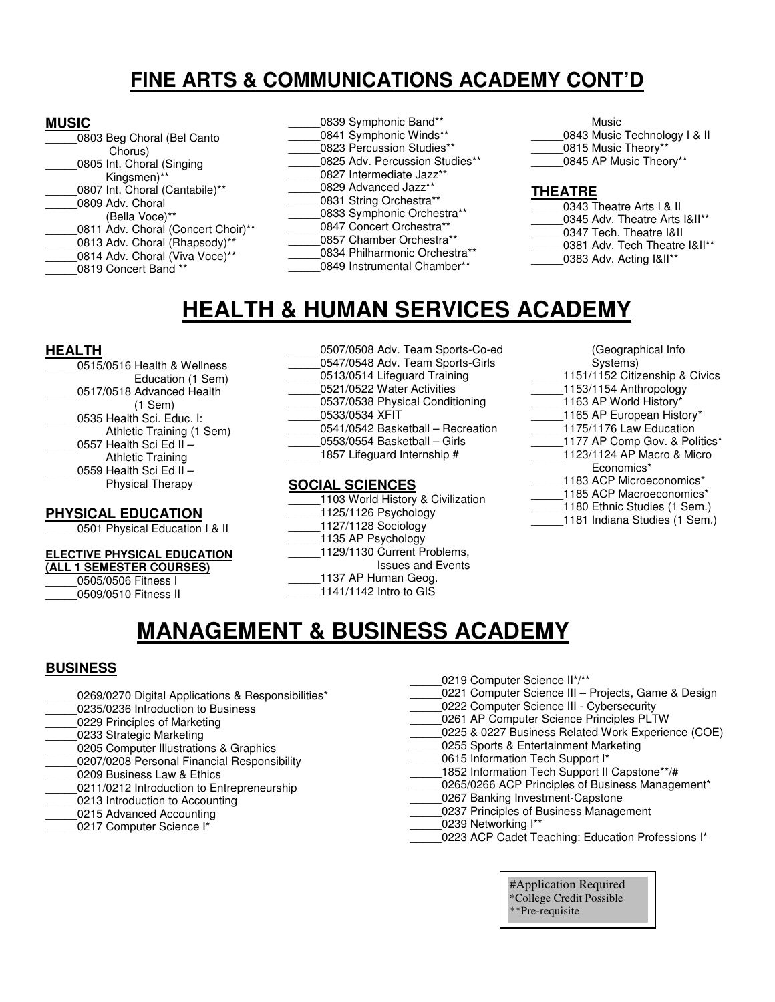## **FINE ARTS & COMMUNICATIONS ACADEMY CONT'D**

#### **MUSIC**

| 0803 Beg Choral (Bel Canto         |
|------------------------------------|
| Chorus)                            |
| 0805 Int. Choral (Singing          |
| Kingsmen)**                        |
| 0807 Int. Choral (Cantabile)**     |
| 0809 Adv. Choral                   |
| (Bella Voce)**                     |
| 0811 Adv. Choral (Concert Choir)** |
| 0813 Adv. Choral (Rhapsody)**      |
| 0814 Adv. Choral (Viva Voce)**     |
| 0819 Concert Band **               |
|                                    |

0839 Symphonic Band\*\* 0841 Symphonic Winds\*\* 0823 Percussion Studies\*\* 0825 Adv. Percussion Studies\*\* 0827 Intermediate Jazz\*\* 0829 Advanced Jazz\*\* 0831 String Orchestra\*\* 0833 Symphonic Orchestra\*\* 0847 Concert Orchestra\*\* \_\_\_\_\_0857 Chamber Orchestra\*\* 0834 Philharmonic Orchestra\*\* 0849 Instrumental Chamber\*\*

 Music 0843 Music Technology I & II \_\_\_\_\_0815 Music Theory\*\* 0845 AP Music Theory\*\*

#### **THEATRE**

- 0343 Theatre Arts I & II 0345 Adv. Theatre Arts I&II\*\* \_\_\_\_\_0347 Tech. Theatre I&II 0381 Adv. Tech Theatre I&II\*\*
- 0383 Adv. Acting I&II\*\*

## **HEALTH & HUMAN SERVICES ACADEMY**

#### **HEALTH**

0515/0516 Health & Wellness Education (1 Sem) 0517/0518 Advanced Health (1 Sem) 0535 Health Sci. Educ. I: Athletic Training (1 Sem) 0557 Health Sci Ed II – Athletic Training 0559 Health Sci Ed II – Physical Therapy

#### **PHYSICAL EDUCATION**

0501 Physical Education I & II

#### **ELECTIVE PHYSICAL EDUCATION**

#### **(ALL 1 SEMESTER COURSES)**

\_\_\_\_\_0505/0506 Fitness I

\_\_\_\_\_0509/0510 Fitness II

- \_\_\_\_\_0507/0508 Adv. Team Sports-Co-ed 0547/0548 Adv. Team Sports-Girls 0513/0514 Lifeguard Training \_\_\_\_\_0521/0522 Water Activities \_\_\_\_\_0537/0538 Physical Conditioning \_\_\_\_\_0533/0534 XFIT \_\_\_\_\_0541/0542 Basketball – Recreation \_\_\_\_\_0553/0554 Basketball – Girls 1857 Lifeguard Internship # **SOCIAL SCIENCES**  1103 World History & Civilization \_\_\_\_\_1125/1126 Psychology
	- \_\_\_\_\_1127/1128 Sociology 1135 AP Psychology
	- \_\_\_\_\_1129/1130 Current Problems,
	- Issues and Events
		- 1137 AP Human Geog.

\_\_\_\_\_1141/1142 Intro to GIS

- (Geographical Info Systems) 1151/1152 Citizenship & Civics  $-$ 1153/1154 Anthropology \_\_\_\_\_1163 AP World History\* \_1165 AP European History\* \_\_\_\_\_1175/1176 Law Education 1177 AP Comp Gov. & Politics\* \_\_\_\_\_1123/1124 AP Macro & Micro Economics\* 1183 ACP Microeconomics\* 1185 ACP Macroeconomics\* 1180 Ethnic Studies (1 Sem.)
- 1181 Indiana Studies (1 Sem.)

## **MANAGEMENT & BUSINESS ACADEMY**

#### **BUSINESS**

- 0269/0270 Digital Applications & Responsibilities\*
- 0235/0236 Introduction to Business
- 0229 Principles of Marketing
- 0233 Strategic Marketing
- 0205 Computer Illustrations & Graphics 0207/0208 Personal Financial Responsibility
- 0209 Business Law & Ethics
- 
- 0211/0212 Introduction to Entrepreneurship 0213 Introduction to Accounting
- 0215 Advanced Accounting
- 0217 Computer Science I\*
- \_\_\_\_\_0219 Computer Science II\*/\*\*
- \_\_\_\_\_0221 Computer Science III Projects, Game & Design 0222 Computer Science III - Cybersecurity
- \_\_\_\_\_0261 AP Computer Science Principles PLTW
- 0225 & 0227 Business Related Work Experience (COE)
- 0255 Sports & Entertainment Marketing
- 0615 Information Tech Support I\*
- 1852 Information Tech Support II Capstone\*\*/#
- 0265/0266 ACP Principles of Business Management\*
- 0267 Banking Investment-Capstone
- 0237 Principles of Business Management
- \_\_\_\_\_0239 Networking I\*\*
- 0223 ACP Cadet Teaching: Education Professions I\*

#Application Required \*College Credit Possible \*\*Pre-requisite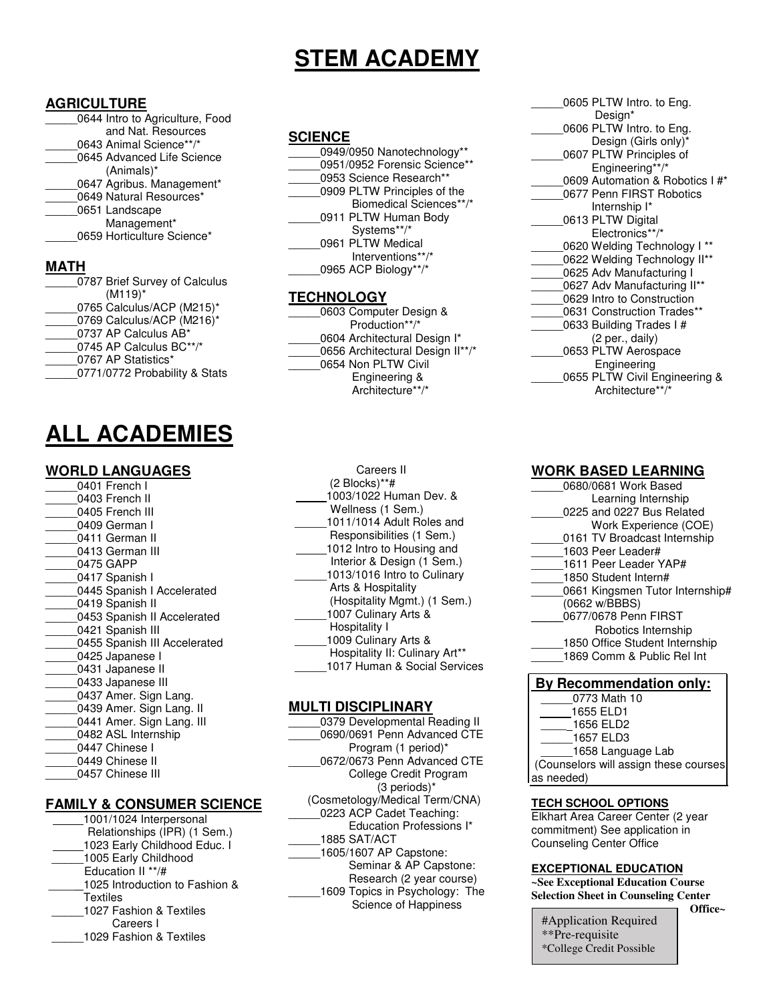## **STEM ACADEMY**

#### **AGRICULTURE**

| 0644 Intro to Agriculture, Food |
|---------------------------------|
| and Nat. Resources              |
| 0643 Animal Science**/*         |
| 0645 Advanced Life Science      |
| $(Animals)^*$                   |
| 0647 Agribus. Management*       |
| 0649 Natural Resources*         |
| 0651 Landscape                  |
| Management*                     |
| 0659 Horticulture Science*      |
|                                 |
|                                 |

| 0787 Brief Survey of Calculus |
|-------------------------------|
| $(M119)^*$                    |
| 0765 Calculus/ACP (M215)*     |
| 0769 Calculus/ACP (M216)*     |
| 0737 AP Calculus AB*          |
| 0745 AP Calculus BC**/*       |
| 0767 AP Statistics*           |
| 0771/0772 Probability & Stats |

# **ALL ACADEMIES**

#### **WORLD LANGUAGES**

| 0401 French I                |
|------------------------------|
| 0403 French II               |
| 0405 French III              |
| 0409 German I                |
| 0411 German II               |
| 0413 German III              |
| 0475 GAPP                    |
| 0417 Spanish I               |
| 0445 Spanish I Accelerated   |
| 0419 Spanish II              |
| 0453 Spanish II Accelerated  |
| 0421 Spanish III             |
| 0455 Spanish III Accelerated |
| 0425 Japanese I              |
| 0431 Japanese II             |
| 0433 Japanese III            |
| 0437 Amer. Sign Lang.        |
| 0439 Amer. Sign Lang. II     |
| 0441 Amer. Sign Lang. III    |
| 0482 ASL Internship          |
| 0447 Chinese I               |
| 0449 Chinese II              |
| 0457 Chinese III             |
|                              |

#### **FAMILY & CONSUMER SCIENCE**

| 1001/1024 Interpersonal        |  |
|--------------------------------|--|
| Relationships (IPR) (1 Sem.)   |  |
| 1023 Early Childhood Educ. I   |  |
| 1005 Early Childhood           |  |
| Education II **/#              |  |
| 1025 Introduction to Fashion & |  |
| <b>Textiles</b>                |  |
| 1027 Fashion & Textiles        |  |
| Careers I                      |  |
| 1029 Fashion & Textiles        |  |
|                                |  |

#### **SCIENCE**

| 0949/0950 Nanotechnology**   |
|------------------------------|
| 0951/0952 Forensic Science** |
| 0953 Science Research**      |
| 0909 PLTW Principles of the  |
| Biomedical Sciences**/*      |
| 0911 PLTW Human Body         |
| Systems**/*                  |
| 0961 PLTW Medical            |
| Interventions**/*            |
| 0965 ACP Biology**/*         |
|                              |

#### **TECHNOLOGY**

| 0603 Computer Design &           |
|----------------------------------|
| Production**/*                   |
| 0604 Architectural Design I*     |
| 0656 Architectural Design II**/* |
| 0654 Non PLTW Civil              |
| Engineering &                    |
| Architecture**/*                 |
|                                  |
|                                  |

| Careers II                     |
|--------------------------------|
| $(2$ Blocks)**#                |
| 1003/1022 Human Dev. &         |
| Wellness (1 Sem.)              |
| 1011/1014 Adult Roles and      |
| Responsibilities (1 Sem.)      |
| 1012 Intro to Housing and      |
| Interior & Design (1 Sem.)     |
| 1013/1016 Intro to Culinary    |
| Arts & Hospitality             |
| (Hospitality Mgmt.) (1 Sem.)   |
| 1007 Culinary Arts &           |
| Hospitality I                  |
| 1009 Culinary Arts &           |
| Hospitality II: Culinary Art** |
| 1017 Human & Social Services   |

#### **MULTI DISCIPLINARY**

| 0379 Developmental Reading II   |
|---------------------------------|
| 0690/0691 Penn Advanced CTE     |
| Program (1 period)*             |
| 0672/0673 Penn Advanced CTE     |
| College Credit Program          |
| $(3$ periods)*                  |
| (Cosmetology/Medical Term/CNA)  |
| 0223 ACP Cadet Teaching:        |
| <b>Education Professions I*</b> |
| 1885 SAT/ACT                    |
| 1605/1607 AP Capstone:          |
| Seminar & AP Capstone:          |
| Research (2 year course)        |
| 1609 Topics in Psychology: The  |
| Science of Happiness            |
|                                 |

| 0605 PLTW Intro. to Eng.        |
|---------------------------------|
| Design*                         |
| 0606 PLTW Intro. to Eng.        |
| Design (Girls only)*            |
| 0607 PLTW Principles of         |
| Engineering**/*                 |
| 0609 Automation & Robotics I #* |
| 0677 Penn FIRST Robotics        |
| Internship I*                   |
| 0613 PLTW Digital               |
| Electronics**/*                 |
| 0620 Welding Technology I       |
| 0622 Welding Technology II**    |
| 0625 Adv Manufacturing I        |
| 0627 Adv Manufacturing II**     |
| 0629 Intro to Construction      |
| 0631 Construction Trades**      |
| 0633 Building Trades I#         |
| (2 per., daily)                 |
| 0653 PLTW Aerospace             |
| Engineering                     |
| 0655 PLTW Civil Engineering &   |
| Architecture**/*                |

#### **WORK BASED LEARNING**

| 0680/0681 Work Based            |
|---------------------------------|
| Learning Internship             |
| 0225 and 0227 Bus Related       |
| Work Experience (COE)           |
| 0161 TV Broadcast Internship    |
| 1603 Peer Leader#               |
| 1611 Peer Leader YAP#           |
| 1850 Student Intern#            |
| 0661 Kingsmen Tutor Internship# |
| (0662 w/BBBS)                   |
| 0677/0678 Penn FIRST            |
| Robotics Internship             |
| 1850 Office Student Internship  |
| 1869 Comm & Public Rel Int      |
|                                 |

#### **By Recommendation only:**

| 0773 Math 10                    |
|---------------------------------|
| 1655 ELD1                       |
| 1656 ELD2                       |
| 1657 ELD3                       |
| 1658 Language Lab               |
| Councelors will accion these co |

 (Counselors will assign these courses as needed)

#### **TECH SCHOOL OPTIONS**

Elkhart Area Career Center (2 year commitment) See application in Counseling Center Office

#### **EXCEPTIONAL EDUCATION**

**~See Exceptional Education Course Selection Sheet in Counseling Center** 

**Office~**

#Application Required \*\*Pre-requisite \*College Credit Possible